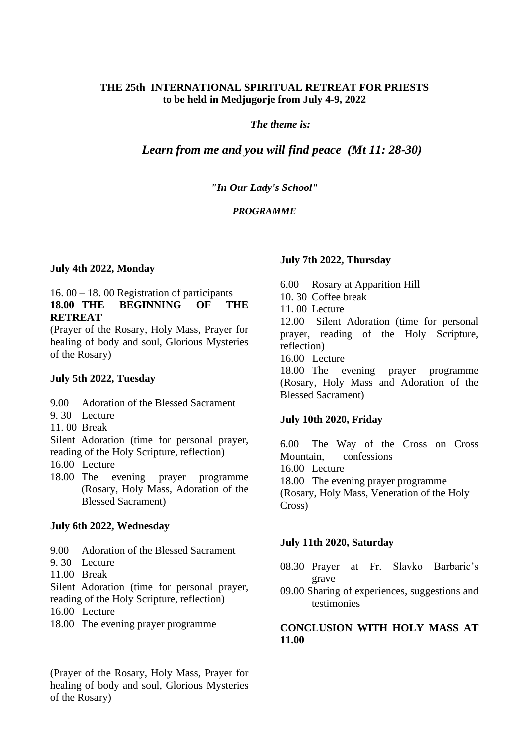# **THE 25th INTERNATIONAL SPIRITUAL RETREAT FOR PRIESTS to be held in Medjugorje from July 4-9, 2022**

## *The theme is:*

# *Learn from me and you will find peace (Mt 11: 28-30)*

#### *"In Our Lady's School"*

## *PROGRAMME*

#### **July 4th 2022, Monday**

## 16. 00 – 18. 00 Registration of participants **18.00 THE BEGINNING OF THE RETREAT**

(Prayer of the Rosary, Holy Mass, Prayer for healing of body and soul, Glorious Mysteries of the Rosary)

#### **July 5th 2022, Tuesday**

- 9.00 Adoration of the Blessed Sacrament
- 9. 30 Lecture
- 11. 00 Break

Silent Adoration (time for personal prayer, reading of the Holy Scripture, reflection)

- 16.00 Lecture
- 18.00 The evening prayer programme (Rosary, Holy Mass, Adoration of the Blessed Sacrament)

#### **July 6th 2022, Wednesday**

- 9.00 Adoration of the Blessed Sacrament
- 9. 30 Lecture
- 11.00 Break

Silent Adoration (time for personal prayer, reading of the Holy Scripture, reflection)

- 16.00 Lecture
- 18.00 The evening prayer programme

(Prayer of the Rosary, Holy Mass, Prayer for healing of body and soul, Glorious Mysteries of the Rosary)

### **July 7th 2022, Thursday**

6.00 Rosary at Apparition Hill 10. 30 Coffee break 11. 00 Lecture 12.00 Silent Adoration (time for personal

prayer, reading of the Holy Scripture, reflection)

16.00 Lecture

18.00 The evening prayer programme (Rosary, Holy Mass and Adoration of the Blessed Sacrament)

#### **July 10th 2020, Friday**

6.00 The Way of the Cross on Cross Mountain, confessions 16.00 Lecture 18.00 The evening prayer programme (Rosary, Holy Mass, Veneration of the Holy Cross)

#### **July 11th 2020, Saturday**

- 08.30 Prayer at Fr. Slavko Barbaric's grave
- 09.00 Sharing of experiences, suggestions and testimonies

# **CONCLUSION WITH HOLY MASS AT 11.00**